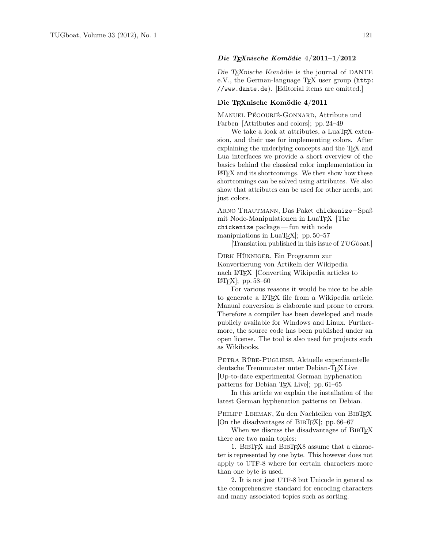## Die TEXnische Komödie 4/2011–1/2012

Die TEXnische Komödie is the journal of DANTE e.V., the German-language T<sub>F</sub>X user group (http: //www.dante.de). [Editorial items are omitted.]

## Die TEXnische Komödie 4/2011

Manuel Pégourié-Gonnard, Attribute und Farben [Attributes and colors]; pp. 24–49

We take a look at attributes, a LuaT<sub>EX</sub> extension, and their use for implementing colors. After explaining the underlying concepts and the TFX and Lua interfaces we provide a short overview of the basics behind the classical color implementation in LATEX and its shortcomings. We then show how these shortcomings can be solved using attributes. We also show that attributes can be used for other needs, not just colors.

ARNO TRAUTMANN, Das Paket chickenize-Spaß mit Node-Manipulationen in LuaTEX [The chickenize package— fun with node manipulations in LuaT<sub>E</sub>X<sup> $\vert$ </sup>; pp. 50–57

[Translation published in this issue of TUGboat.]

Dirk Hünniger, Ein Programm zur Konvertierung von Artikeln der Wikipedia nach LATEX [Converting Wikipedia articles to LATEX]; pp. 58–60

For various reasons it would be nice to be able to generate a LATEX file from a Wikipedia article. Manual conversion is elaborate and prone to errors. Therefore a compiler has been developed and made publicly available for Windows and Linux. Furthermore, the source code has been published under an open license. The tool is also used for projects such as Wikibooks.

Petra Rübe-Pugliese, Aktuelle experimentelle deutsche Trennmuster unter Debian-TEX Live [Up-to-date experimental German hyphenation patterns for Debian TEX Live]; pp. 61–65

In this article we explain the installation of the latest German hyphenation patterns on Debian.

PHILIPP LEHMAN, Zu den Nachteilen von BIBT<sub>E</sub>X [On the disadvantages of BIBT<sub>EX</sub>]; pp. 66–67

When we discuss the disadvantages of BIBTEX there are two main topics:

1. BibTEX and BibTEX8 assume that a character is represented by one byte. This however does not apply to UTF-8 where for certain characters more than one byte is used.

2. It is not just UTF-8 but Unicode in general as the comprehensive standard for encoding characters and many associated topics such as sorting.